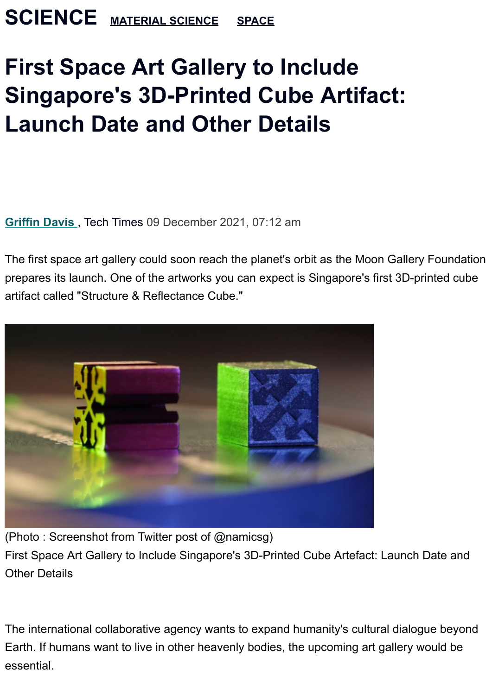## **First Space Art Gallery to Include Singapore's 3D-Printed Cube Artifact: Launch Date and Other Details**

**[Griffin Davis](https://www.techtimes.com/reporters/griffin-davis)** , Tech Times 09 December 2021, 07:12 am

The first space art gallery could soon reach the planet's orbit as the Moon Gallery Foundation prepares its launch. One of the artworks you can expect is Singapore's first 3D-printed cube artifact called "Structure & Reflectance Cube."



(Photo : Screenshot from Twitter post of @namicsg)

First Space Art Gallery to Include Singapore's 3D-Printed Cube Artefact: Launch Date and Other Details

The international collaborative agency wants to expand humanity's cultural dialogue beyond Earth. If humans want to live in other heavenly bodies, the upcoming art gallery would be essential.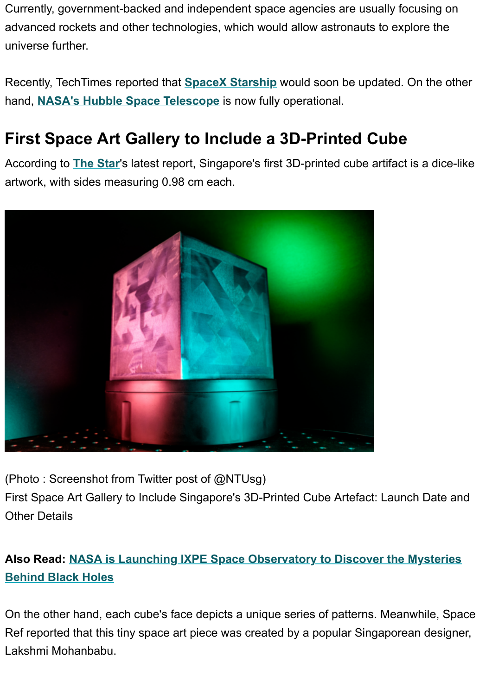Currently, government-backed and independent space agencies are usually focusing on advanced rockets and other technologies, which would allow astronauts to explore the universe further.

Recently, TechTimes reported that **[SpaceX Starship](https://www.techtimes.com/articles/269074/20211207/spacex-starship-update-coming-month-elon-musk-twitter-fan-shows.htm)** would soon be updated. On the other hand, **[NASA's Hubble Space Telescope](https://www.techtimes.com/articles/269083/20211207/nasas-hubble-space-telescope-fully-operational-once-more.htm)** is now fully operational.

## **First Space Art Gallery to Include a 3D-Printed Cube**

According to **[The Star](https://www.thestar.com.my/aseanplus/aseanplus-news/2021/12/09/3d-cube-selected-for-art-gallery-on-the-moon)**'s latest report, Singapore's first 3D-printed cube artifact is a dice-like artwork, with sides measuring 0.98 cm each.



(Photo : Screenshot from Twitter post of @NTUsg)

First Space Art Gallery to Include Singapore's 3D-Printed Cube Artefact: Launch Date and Other Details

## **Also Read: [NASA is Launching IXPE Space Observatory to Discover the Mysteries](https://www.techtimes.com/articles/269157/20211209/nasa-unveil-x-ray-observing-mission-make-black-hole-detection.htm) Behind Black Holes**

On the other hand, each cube's face depicts a unique series of patterns. Meanwhile, Space Ref reported that this tiny space art piece was created by a popular Singaporean designer, Lakshmi Mohanbabu.